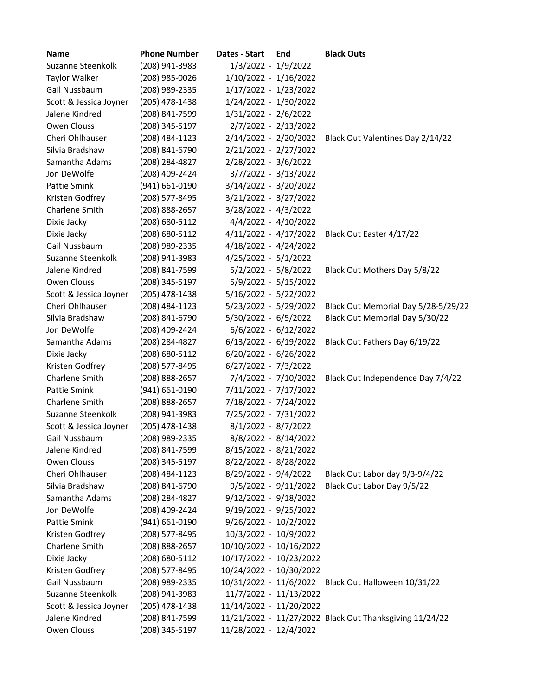| <b>Name</b>            | <b>Phone Number</b> | Dates - Start           | End | <b>Black Outs</b>                                       |
|------------------------|---------------------|-------------------------|-----|---------------------------------------------------------|
| Suzanne Steenkolk      | (208) 941-3983      | 1/3/2022 - 1/9/2022     |     |                                                         |
| <b>Taylor Walker</b>   | (208) 985-0026      | 1/10/2022 - 1/16/2022   |     |                                                         |
| Gail Nussbaum          | (208) 989-2335      | 1/17/2022 - 1/23/2022   |     |                                                         |
| Scott & Jessica Joyner | (205) 478-1438      | 1/24/2022 - 1/30/2022   |     |                                                         |
| Jalene Kindred         | (208) 841-7599      | 1/31/2022 - 2/6/2022    |     |                                                         |
| Owen Clouss            | (208) 345-5197      | 2/7/2022 - 2/13/2022    |     |                                                         |
| Cheri Ohlhauser        | (208) 484-1123      | 2/14/2022 - 2/20/2022   |     | Black Out Valentines Day 2/14/22                        |
| Silvia Bradshaw        | (208) 841-6790      | 2/21/2022 - 2/27/2022   |     |                                                         |
| Samantha Adams         | (208) 284-4827      | 2/28/2022 - 3/6/2022    |     |                                                         |
| Jon DeWolfe            | (208) 409-2424      | 3/7/2022 - 3/13/2022    |     |                                                         |
| Pattie Smink           | (941) 661-0190      | 3/14/2022 - 3/20/2022   |     |                                                         |
| Kristen Godfrey        | (208) 577-8495      | 3/21/2022 - 3/27/2022   |     |                                                         |
| Charlene Smith         | (208) 888-2657      | 3/28/2022 - 4/3/2022    |     |                                                         |
| Dixie Jacky            | (208) 680-5112      | 4/4/2022 - 4/10/2022    |     |                                                         |
| Dixie Jacky            | (208) 680-5112      | 4/11/2022 - 4/17/2022   |     | Black Out Easter 4/17/22                                |
| Gail Nussbaum          | (208) 989-2335      | 4/18/2022 - 4/24/2022   |     |                                                         |
| Suzanne Steenkolk      | (208) 941-3983      | 4/25/2022 - 5/1/2022    |     |                                                         |
| Jalene Kindred         | (208) 841-7599      | $5/2/2022 - 5/8/2022$   |     | Black Out Mothers Day 5/8/22                            |
| Owen Clouss            | (208) 345-5197      | 5/9/2022 - 5/15/2022    |     |                                                         |
| Scott & Jessica Joyner | (205) 478-1438      | 5/16/2022 - 5/22/2022   |     |                                                         |
| Cheri Ohlhauser        | (208) 484-1123      | 5/23/2022 - 5/29/2022   |     | Black Out Memorial Day 5/28-5/29/22                     |
| Silvia Bradshaw        | (208) 841-6790      | $5/30/2022 - 6/5/2022$  |     | Black Out Memorial Day 5/30/22                          |
| Jon DeWolfe            | (208) 409-2424      | $6/6/2022 - 6/12/2022$  |     |                                                         |
| Samantha Adams         | (208) 284-4827      | $6/13/2022 - 6/19/2022$ |     | Black Out Fathers Day 6/19/22                           |
| Dixie Jacky            | (208) 680-5112      | 6/20/2022 - 6/26/2022   |     |                                                         |
| Kristen Godfrey        | (208) 577-8495      | 6/27/2022 - 7/3/2022    |     |                                                         |
| Charlene Smith         | (208) 888-2657      | 7/4/2022 - 7/10/2022    |     | Black Out Independence Day 7/4/22                       |
| Pattie Smink           | (941) 661-0190      | 7/11/2022 - 7/17/2022   |     |                                                         |
| Charlene Smith         | (208) 888-2657      | 7/18/2022 - 7/24/2022   |     |                                                         |
| Suzanne Steenkolk      | (208) 941-3983      | 7/25/2022 - 7/31/2022   |     |                                                         |
| Scott & Jessica Joyner | (205) 478-1438      | 8/1/2022 - 8/7/2022     |     |                                                         |
| Gail Nussbaum          | (208) 989-2335      | 8/8/2022 - 8/14/2022    |     |                                                         |
| Jalene Kindred         | (208) 841-7599      | 8/15/2022 - 8/21/2022   |     |                                                         |
| Owen Clouss            | (208) 345-5197      | 8/22/2022 - 8/28/2022   |     |                                                         |
| Cheri Ohlhauser        | (208) 484-1123      | 8/29/2022 - 9/4/2022    |     | Black Out Labor day 9/3-9/4/22                          |
| Silvia Bradshaw        | (208) 841-6790      | $9/5/2022 - 9/11/2022$  |     | Black Out Labor Day 9/5/22                              |
| Samantha Adams         | (208) 284-4827      | $9/12/2022 - 9/18/2022$ |     |                                                         |
| Jon DeWolfe            | (208) 409-2424      | 9/19/2022 - 9/25/2022   |     |                                                         |
| Pattie Smink           | (941) 661-0190      | 9/26/2022 - 10/2/2022   |     |                                                         |
| Kristen Godfrey        | (208) 577-8495      | 10/3/2022 - 10/9/2022   |     |                                                         |
| Charlene Smith         | (208) 888-2657      | 10/10/2022 - 10/16/2022 |     |                                                         |
| Dixie Jacky            | (208) 680-5112      | 10/17/2022 - 10/23/2022 |     |                                                         |
| Kristen Godfrey        | (208) 577-8495      | 10/24/2022 - 10/30/2022 |     |                                                         |
| Gail Nussbaum          | (208) 989-2335      | 10/31/2022 - 11/6/2022  |     | Black Out Halloween 10/31/22                            |
| Suzanne Steenkolk      | (208) 941-3983      | 11/7/2022 - 11/13/2022  |     |                                                         |
| Scott & Jessica Joyner | (205) 478-1438      | 11/14/2022 - 11/20/2022 |     |                                                         |
| Jalene Kindred         | (208) 841-7599      |                         |     | 11/21/2022 - 11/27/2022 Black Out Thanksgiving 11/24/22 |
| Owen Clouss            | (208) 345-5197      | 11/28/2022 - 12/4/2022  |     |                                                         |